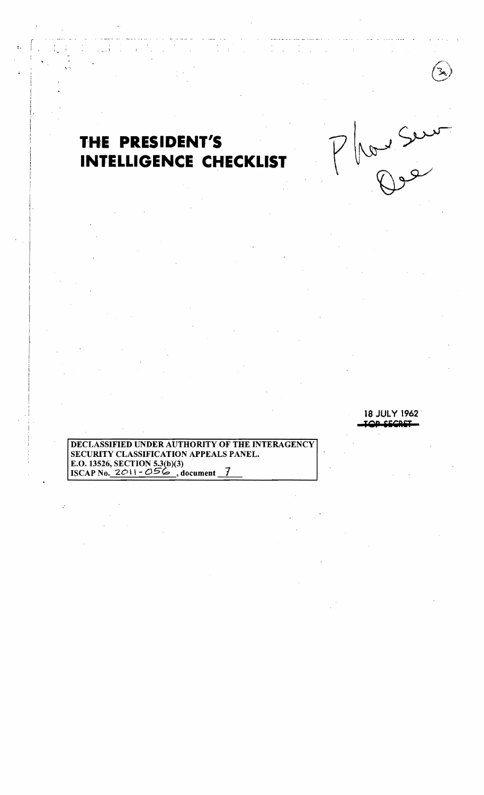# THE PRESIDENT'S **INTELLIGENCE CHECKLIST**

**18 JULY 1962** OR CECRET

Red Seur

DECLASSIFIED UNDER AUTHORITY OF THE INTERAGENCY SECURITY CLASSIFICATION APPEALS PANEL. E.O. 13526, SECTION 5.3(b)(3)<br>ISCAP No. 2011 - 056, document 7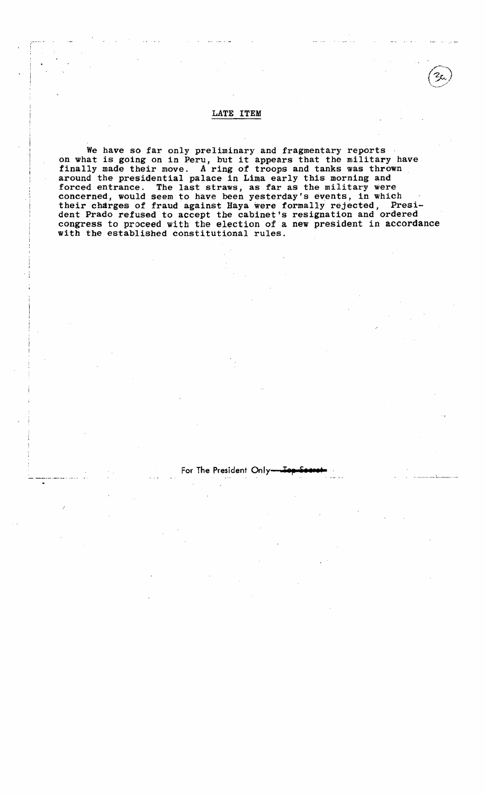### LATE ITEM

We have so far only preliminary and fragmentary reports on what is going on in Peru, but it appears that the military have finally made their move. A ring of troops and tanks was thrown around the presidential palace in Lima early this morning and forced entrance. The last straws, as far as the military were concerned, would seem to have been yesterday's events, in which their charges of fraud against Haya were formally rejected, President Prado refused to accept the cabinet's resignation and ordered congress to proceed with the election of a new president in accordance with the established constitutional rules.

 $\cdot$  :

### For The President Only<sub>'</sub>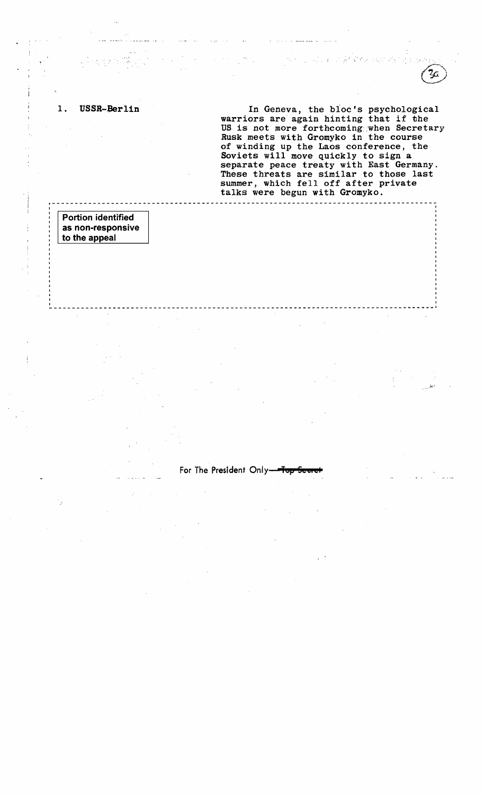1. USSR-Berlin 1. In Geneva, the bloc's psychological warriors are again hinting that if the US is not more forthcoming.when Secretary Rusk meets with Gromyko in the course of winding up the Laos conference, the Soviets will move quickly to sign a separate peace treaty with East Germany. These threats are similar to those last summer, which fell off after private talks were begun with Gromyko.

I **Portion identified**  as non-responsive to the appeal

**:** 

For The President Only-

**\_\_\_\_\_\_\_\_\_\_\_\_\_\_\_\_\_\_\_\_\_\_\_\_\_\_\_\_\_\_\_\_\_\_\_\_\_\_\_\_\_\_\_\_\_\_\_\_\_\_\_\_\_\_ \_\_\_\_\_\_** 

<sup>I</sup>**------------------------- <sup>1</sup>**

**r------------------------------------------------------------------------------------** I I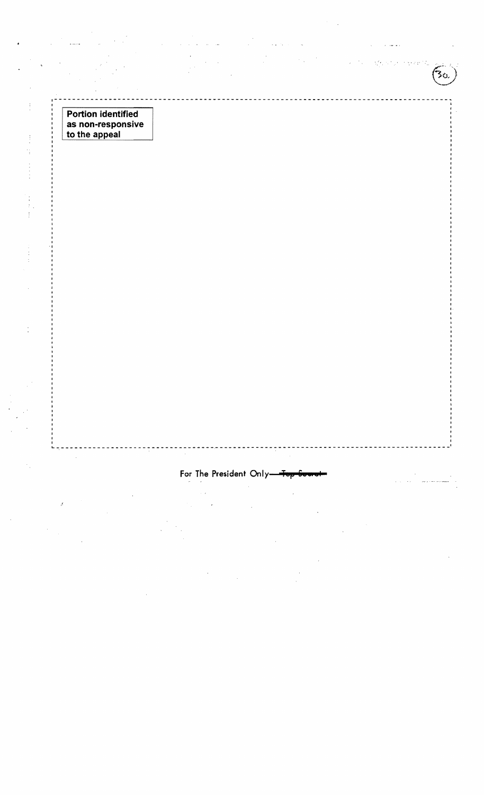**Portion identified as non-responsive to the appeal** 

.,

 $\frac{1}{2}$ 

 $\frac{1}{4}$ 

 $\begin{bmatrix} 1 \\ 1 \\ 1 \end{bmatrix}$  $\frac{1}{2}$ 

Ì

## For The President Only-

1----------------------------------------------------- ----------------------------------~,

 $\mathbb{S}^{Z_{L}}$ 

 $\bar{\beta}$ 

**Highwart C** 

30,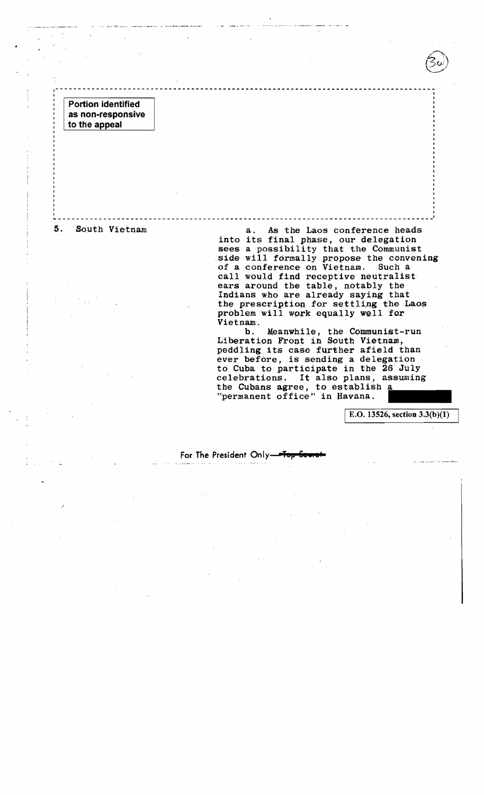Portion identified as non-responsive to the appeal

5. South Vietnam a. As the Laos conference heads into its final phase, our delegation sees a possibility that the Communist side will formally propose the convening<br>of a conference on Vietnam. Such a of a conference on Vietnam. call would find receptive neutralist ears around the table, notably the Indians who are already saying that the prescription for settling the Laos problem will work equally well for<br>Vietnam.

> b. Meanwhile, the Communist-run<br>Liberation Front in South Vietnam, peddling its case further afield than ever before, is sending a delegation to Cuba to participate in the 26 July celebrations. It also plans, assuming the Cubans agree, to establish a "permanent office" in Havana.

> > I E.O. 13526, section 3.3(b)(1)

 $-1$ I I I I

## For The President Only-

~---------------------~--------------.----------------------~-----------------------j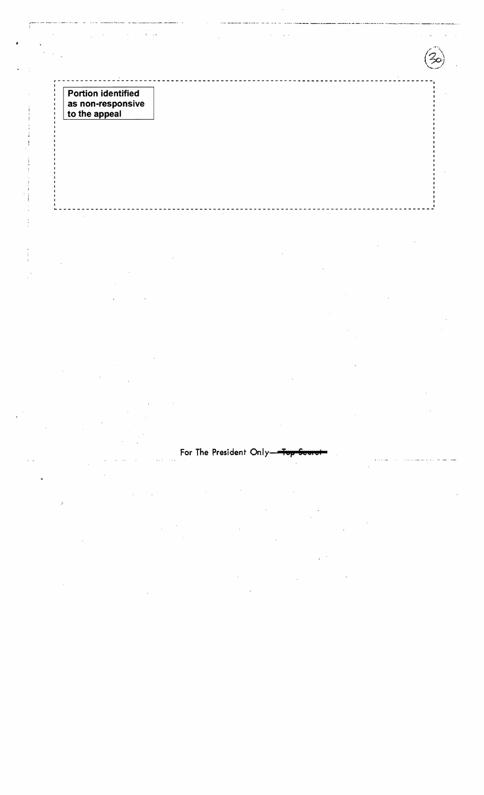**Portion identified** as non-responsive<br>to the appeal

 $\ddot{\cdot}$ 

i<br>Poz

For The President Only-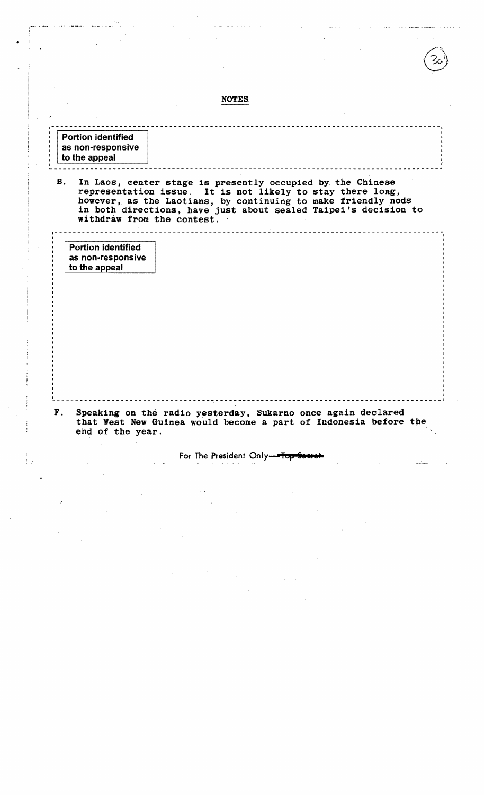|                                                                 |                                                                                                                                                                                                                              | <b>NOTES</b> |  |  |
|-----------------------------------------------------------------|------------------------------------------------------------------------------------------------------------------------------------------------------------------------------------------------------------------------------|--------------|--|--|
|                                                                 |                                                                                                                                                                                                                              |              |  |  |
|                                                                 |                                                                                                                                                                                                                              |              |  |  |
| <b>Portion identified</b><br>as non-responsive<br>to the appeal |                                                                                                                                                                                                                              |              |  |  |
|                                                                 | representation issue. It is not likely to stay there long,<br>however, as the Laotians, by continuing to make friendly nods<br>in both directions, have just about sealed Taipei's decision to<br>withdraw from the contest. |              |  |  |
| <b>Portion identified</b><br>as non-responsive                  |                                                                                                                                                                                                                              |              |  |  |
| to the appeal                                                   |                                                                                                                                                                                                                              |              |  |  |
|                                                                 |                                                                                                                                                                                                                              |              |  |  |
|                                                                 |                                                                                                                                                                                                                              |              |  |  |
|                                                                 |                                                                                                                                                                                                                              |              |  |  |

For The President Only-

 $V_{\rm{max}}$